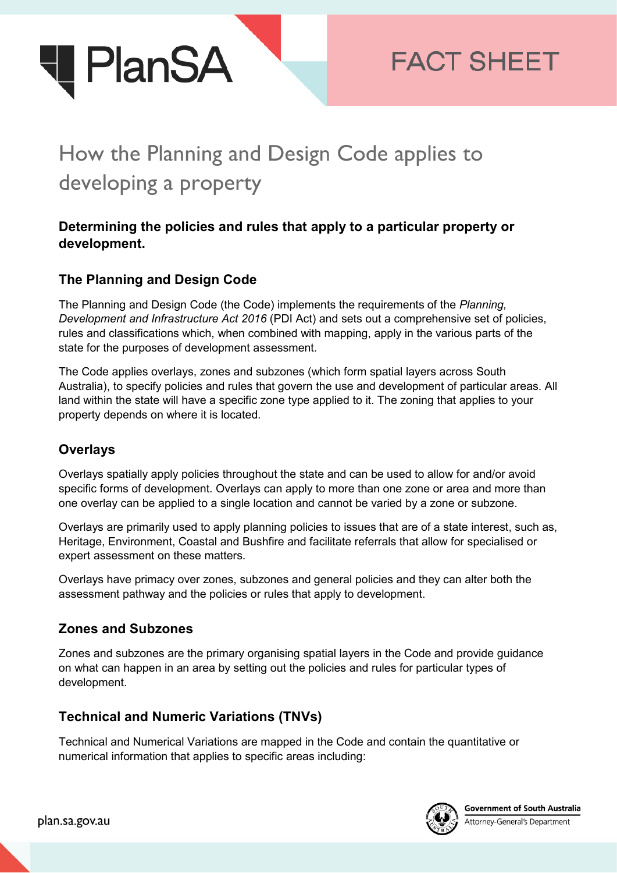

# How the Planning and Design Code applies to developing a property

## **Determining the policies and rules that apply to a particular property or development.**

## **The Planning and Design Code**

The Planning and Design Code (the Code) implements the requirements of the *Planning, Development and Infrastructure Act 2016* (PDI Act) and sets out a comprehensive set of policies, rules and classifications which, when combined with mapping, apply in the various parts of the state for the purposes of development assessment.

The Code applies overlays, zones and subzones (which form spatial layers across South Australia), to specify policies and rules that govern the use and development of particular areas. All land within the state will have a specific zone type applied to it. The zoning that applies to your property depends on where it is located.

#### **Overlays**

Overlays spatially apply policies throughout the state and can be used to allow for and/or avoid specific forms of development. Overlays can apply to more than one zone or area and more than one overlay can be applied to a single location and cannot be varied by a zone or subzone.

Overlays are primarily used to apply planning policies to issues that are of a state interest, such as, Heritage, Environment, Coastal and Bushfire and facilitate referrals that allow for specialised or expert assessment on these matters.

Overlays have primacy over zones, subzones and general policies and they can alter both the assessment pathway and the policies or rules that apply to development.

#### **Zones and Subzones**

Zones and subzones are the primary organising spatial layers in the Code and provide guidance on what can happen in an area by setting out the policies and rules for particular types of development.

#### **Technical and Numeric Variations (TNVs)**

Technical and Numerical Variations are mapped in the Code and contain the quantitative or numerical information that applies to specific areas including: